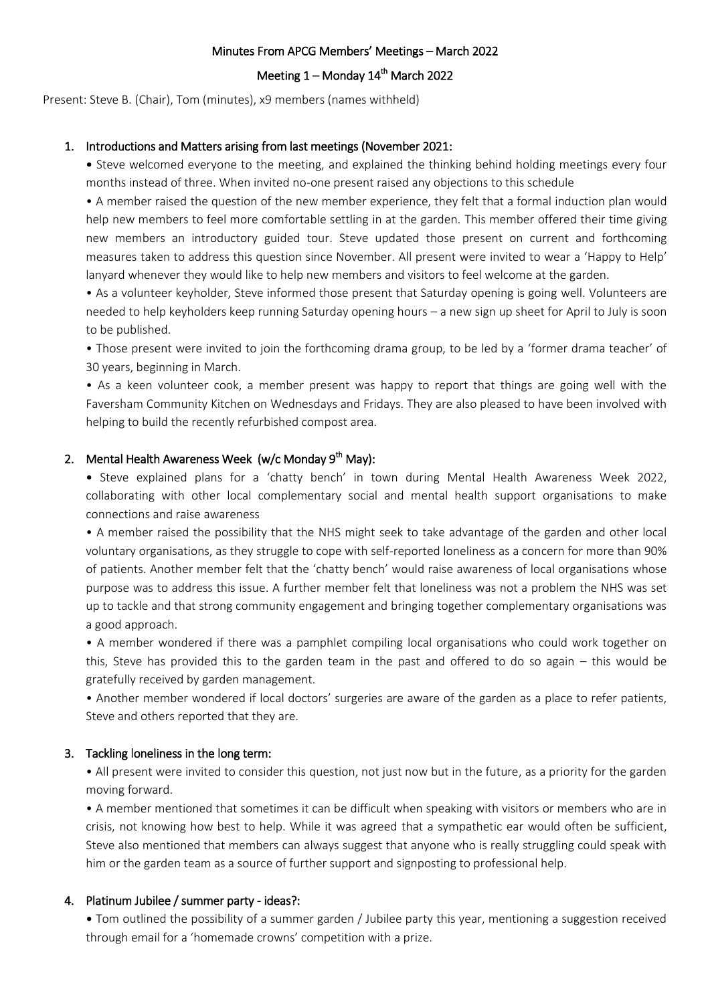#### Minutes From APCG Members' Meetings – March 2022

# Meeting  $1 -$  Monday  $14<sup>th</sup>$  March 2022

Present: Steve B. (Chair), Tom (minutes), x9 members (names withheld)

## 1. Introductions and Matters arising from last meetings (November 2021:

• Steve welcomed everyone to the meeting, and explained the thinking behind holding meetings every four months instead of three. When invited no-one present raised any objections to this schedule

• A member raised the question of the new member experience, they felt that a formal induction plan would help new members to feel more comfortable settling in at the garden. This member offered their time giving new members an introductory guided tour. Steve updated those present on current and forthcoming measures taken to address this question since November. All present were invited to wear a 'Happy to Help' lanyard whenever they would like to help new members and visitors to feel welcome at the garden.

• As a volunteer keyholder, Steve informed those present that Saturday opening is going well. Volunteers are needed to help keyholders keep running Saturday opening hours – a new sign up sheet for April to July is soon to be published.

• Those present were invited to join the forthcoming drama group, to be led by a 'former drama teacher' of 30 years, beginning in March.

• As a keen volunteer cook, a member present was happy to report that things are going well with the Faversham Community Kitchen on Wednesdays and Fridays. They are also pleased to have been involved with helping to build the recently refurbished compost area.

# 2. Mental Health Awareness Week (w/c Monday 9<sup>th</sup> May):

• Steve explained plans for a 'chatty bench' in town during Mental Health Awareness Week 2022, collaborating with other local complementary social and mental health support organisations to make connections and raise awareness

• A member raised the possibility that the NHS might seek to take advantage of the garden and other local voluntary organisations, as they struggle to cope with self-reported loneliness as a concern for more than 90% of patients. Another member felt that the 'chatty bench' would raise awareness of local organisations whose purpose was to address this issue. A further member felt that loneliness was not a problem the NHS was set up to tackle and that strong community engagement and bringing together complementary organisations was a good approach.

• A member wondered if there was a pamphlet compiling local organisations who could work together on this, Steve has provided this to the garden team in the past and offered to do so again – this would be gratefully received by garden management.

• Another member wondered if local doctors' surgeries are aware of the garden as a place to refer patients, Steve and others reported that they are.

#### 3. Tackling loneliness in the long term:

• All present were invited to consider this question, not just now but in the future, as a priority for the garden moving forward.

• A member mentioned that sometimes it can be difficult when speaking with visitors or members who are in crisis, not knowing how best to help. While it was agreed that a sympathetic ear would often be sufficient, Steve also mentioned that members can always suggest that anyone who is really struggling could speak with him or the garden team as a source of further support and signposting to professional help.

#### 4. Platinum Jubilee / summer party - ideas?:

• Tom outlined the possibility of a summer garden / Jubilee party this year, mentioning a suggestion received through email for a 'homemade crowns' competition with a prize.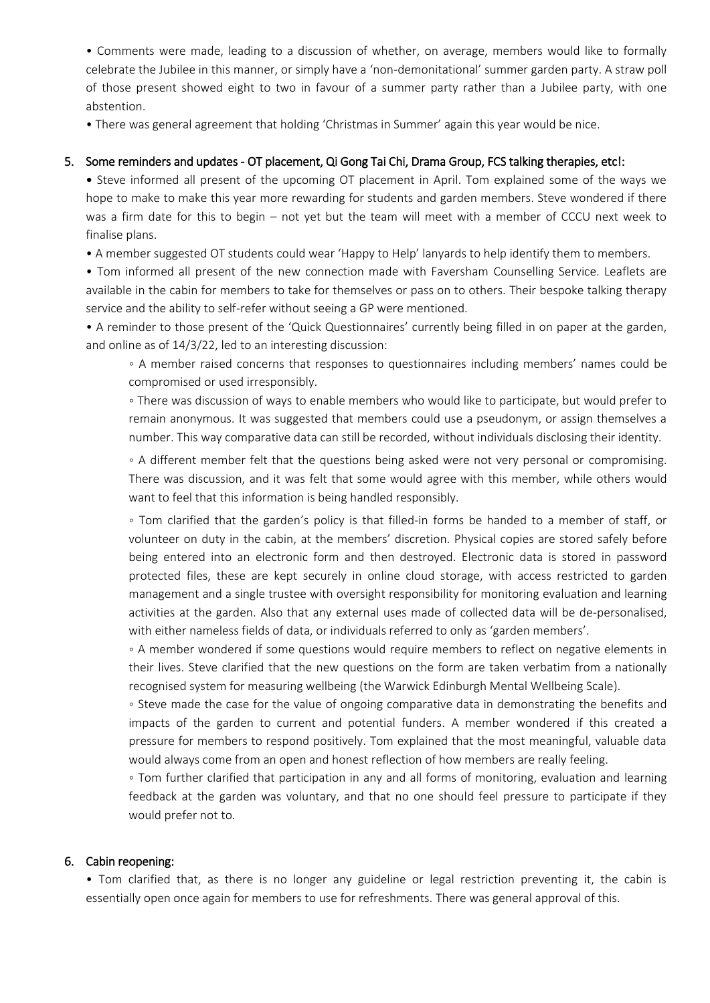• Comments were made, leading to a discussion of whether, on average, members would like to formally celebrate the Jubilee in this manner, or simply have a 'non-demonitational' summer garden party. A straw poll of those present showed eight to two in favour of a summer party rather than a Jubilee party, with one abstention.

• There was general agreement that holding 'Christmas in Summer' again this year would be nice.

# 5. Some reminders and updates - OT placement, Qi Gong Tai Chi, Drama Group, FCS talking therapies, etc!:

• Steve informed all present of the upcoming OT placement in April. Tom explained some of the ways we hope to make to make this year more rewarding for students and garden members. Steve wondered if there was a firm date for this to begin – not yet but the team will meet with a member of CCCU next week to finalise plans.

• A member suggested OT students could wear 'Happy to Help' lanyards to help identify them to members.

• Tom informed all present of the new connection made with Faversham Counselling Service. Leaflets are available in the cabin for members to take for themselves or pass on to others. Their bespoke talking therapy service and the ability to self-refer without seeing a GP were mentioned.

• A reminder to those present of the 'Quick Questionnaires' currently being filled in on paper at the garden, and online as of 14/3/22, led to an interesting discussion:

◦ A member raised concerns that responses to questionnaires including members' names could be compromised or used irresponsibly.

◦ There was discussion of ways to enable members who would like to participate, but would prefer to remain anonymous. It was suggested that members could use a pseudonym, or assign themselves a number. This way comparative data can still be recorded, without individuals disclosing their identity.

◦ A different member felt that the questions being asked were not very personal or compromising. There was discussion, and it was felt that some would agree with this member, while others would want to feel that this information is being handled responsibly.

◦ Tom clarified that the garden's policy is that filled-in forms be handed to a member of staff, or volunteer on duty in the cabin, at the members' discretion. Physical copies are stored safely before being entered into an electronic form and then destroyed. Electronic data is stored in password protected files, these are kept securely in online cloud storage, with access restricted to garden management and a single trustee with oversight responsibility for monitoring evaluation and learning activities at the garden. Also that any external uses made of collected data will be de-personalised, with either nameless fields of data, or individuals referred to only as 'garden members'.

◦ A member wondered if some questions would require members to reflect on negative elements in their lives. Steve clarified that the new questions on the form are taken verbatim from a nationally recognised system for measuring wellbeing (the Warwick Edinburgh Mental Wellbeing Scale).

◦ Steve made the case for the value of ongoing comparative data in demonstrating the benefits and impacts of the garden to current and potential funders. A member wondered if this created a pressure for members to respond positively. Tom explained that the most meaningful, valuable data would always come from an open and honest reflection of how members are really feeling.

◦ Tom further clarified that participation in any and all forms of monitoring, evaluation and learning feedback at the garden was voluntary, and that no one should feel pressure to participate if they would prefer not to.

#### 6. Cabin reopening:

• Tom clarified that, as there is no longer any guideline or legal restriction preventing it, the cabin is essentially open once again for members to use for refreshments. There was general approval of this.